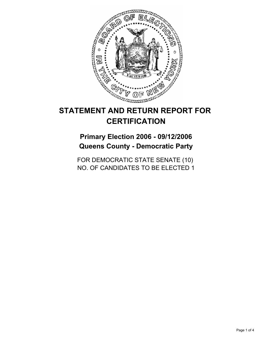

# **STATEMENT AND RETURN REPORT FOR CERTIFICATION**

**Primary Election 2006 - 09/12/2006 Queens County - Democratic Party**

FOR DEMOCRATIC STATE SENATE (10) NO. OF CANDIDATES TO BE ELECTED 1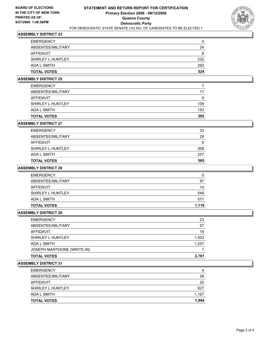

# **ASSEMBLY DISTRICT 23**

| <b>EMERGENCY</b>   | 0   |
|--------------------|-----|
| ABSENTEE/MILITARY  | 24  |
| AFFIDAVIT          | 8   |
| SHIRLEY L HUNTLEY  | 232 |
| ADA L SMITH        | 292 |
| <b>TOTAL VOTES</b> | 524 |

# **ASSEMBLY DISTRICT 25**

| <b>TOTAL VOTES</b> | 262 |
|--------------------|-----|
| ADA L SMITH        | 153 |
| SHIRLEY L HUNTLEY  | 109 |
| AFFIDAVIT          | 9   |
| ABSENTEE/MILITARY  | 17  |
| <b>EMERGENCY</b>   |     |

### **ASSEMBLY DISTRICT 27**

| <b>TOTAL VOTES</b> | 565 |
|--------------------|-----|
| ADA L SMITH        | 257 |
| SHIRLEY L HUNTLEY  | 308 |
| AFFIDAVIT          | 6   |
| ABSENTEE/MILITARY  | 29  |
| <b>EMERGENCY</b>   | 33  |

# **ASSEMBLY DISTRICT 28**

| <b>TOTAL VOTES</b> | 1,119 |
|--------------------|-------|
| ADA L SMITH        | 571   |
| SHIRLEY L HUNTLEY  | 548   |
| AFFIDAVIT          | 14    |
| ABSENTEE/MILITARY  | 97    |
| <b>EMERGENCY</b>   | 0     |

#### **ASSEMBLY DISTRICT 29**

| <b>TOTAL VOTES</b>         | 2,761 |
|----------------------------|-------|
| JOSEPH MARTHONE (WRITE-IN) |       |
| <b>ADA L SMITH</b>         | 1,257 |
| SHIRLEY L HUNTLEY          | 1,503 |
| <b>AFFIDAVIT</b>           | 18    |
| ABSENTEE/MILITARY          | 57    |
| <b>EMERGENCY</b>           | 23    |

#### **ASSEMBLY DISTRICT 31**

| <b>EMERGENCY</b>   | 4     |
|--------------------|-------|
| ABSENTEE/MILITARY  | 28    |
| AFFIDAVIT          | 20    |
| SHIRLEY L HUNTLEY  | 827   |
| ADA L SMITH        | 1,167 |
| <b>TOTAL VOTES</b> | 1,994 |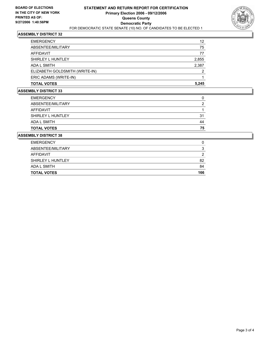

# **ASSEMBLY DISTRICT 32**

| <b>EMERGENCY</b>               | 12    |
|--------------------------------|-------|
| ABSENTEE/MILITARY              | 75    |
| AFFIDAVIT                      | 77    |
| SHIRLEY L HUNTLEY              | 2,855 |
| ADA L SMITH                    | 2,387 |
| ELIZABETH GOLDSMITH (WRITE-IN) | ◠     |
| ERIC ADAMS (WRITE-IN)          |       |
| <b>TOTAL VOTES</b>             | 5,245 |

# **ASSEMBLY DISTRICT 33**

| <b>TOTAL VOTES</b> | 75 |
|--------------------|----|
| ADA L SMITH        | 44 |
| SHIRLEY L HUNTLEY  | 31 |
| AFFIDAVIT          |    |
| ABSENTEE/MILITARY  |    |
| <b>EMERGENCY</b>   |    |

#### **ASSEMBLY DISTRICT 38**

| <b>EMERGENCY</b>   |     |
|--------------------|-----|
| ABSENTEE/MILITARY  |     |
| AFFIDAVIT          |     |
| SHIRLEY L HUNTLEY  | 82  |
| ADA L SMITH        | 84  |
| <b>TOTAL VOTES</b> | 166 |